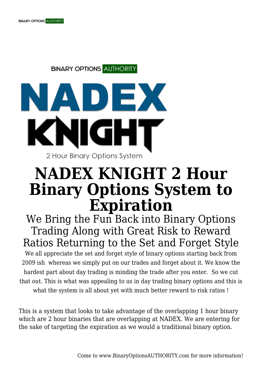**BINARY OPTIONS AUTHORITY** 



## **NADEX KNIGHT 2 Hour Binary Options System to Expiration**

We Bring the Fun Back into Binary Options Trading Along with Great Risk to Reward Ratios Returning to the Set and Forget Style We all appreciate the set and forget style of binary options starting back from 2009 ish whereas we simply put on our trades and forget about it. We know the hardest part about day trading is minding the trade after you enter. So we cut that out. This is what was appealing to us in day trading binary options and this is what the system is all about yet with much better reward to risk ratios !

This is a system that looks to take advantage of the overlapping 1 hour binary which are 2 hour binaries that are overlapping at NADEX. We are entering for the sake of targeting the expiration as we would a traditional binary option.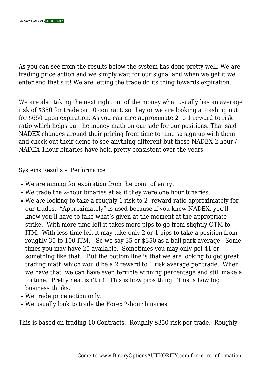As you can see from the results below the system has done pretty well. We are trading price action and we simply wait for our signal and when we get it we enter and that's it! We are letting the trade do its thing towards expiration.

We are also taking the next right out of the money what usually has an average risk of \$350 for trade on 10 contract. so they or we are looking at cashing out for \$650 upon expiration. As you can nice approximate 2 to 1 reward to risk ratio which helps put the money math on our side for our positions. That said NADEX changes around their pricing from time to time so sign up with them and check out their demo to see anything different but these NADEX 2 hour / NADEX 1hour binaries have held pretty consistent over the years.

Systems Results – Performance

- We are aiming for expiration from the point of entry.
- We trade the 2-hour binaries at as if they were one hour binaries.
- We are looking to take a roughly 1 risk-to 2 -reward ratio approximately for our trades. "Approximately" is used because if you know NADEX, you'll know you'll have to take what's given at the moment at the appropriate strike. With more time left it takes more pips to go from slightly OTM to ITM. With less time left it may take only 2 or 1 pips to take a position from roughly 35 to 100 ITM. So we say 35 or \$350 as a ball park average. Some times you may have 25 available. Sometimes you may only get 41 or something like that. But the bottom line is that we are looking to get great trading math which would be a 2 reward to 1 risk average per trade. When we have that, we can have even terrible winning percentage and still make a fortune. Pretty neat isn't it! This is how pros thing. This is how big business thinks.
- We trade price action only.
- We usually look to trade the Forex 2-hour binaries

This is based on trading 10 Contracts. Roughly \$350 risk per trade. Roughly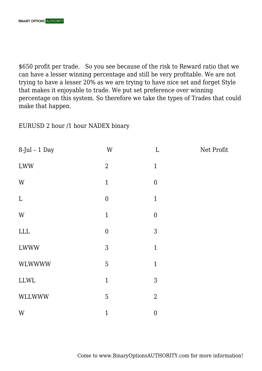\$650 profit per trade. So you see because of the risk to Reward ratio that we can have a lesser winning percentage and still be very profitable. We are not trying to have a lesser 20% as we are trying to have nice set and forget Style that makes it enjoyable to trade. We put set preference over winning percentage on this system. So therefore we take the types of Trades that could make that happen.

EURUSD 2 hour /1 hour NADEX binary

| $8$ -Jul - 1 Day | $\ensuremath{\text{W}}$ | $\mathbf L$      | Net Profit |
|------------------|-------------------------|------------------|------------|
| <b>LWW</b>       | $\overline{2}$          | $\mathbf{1}$     |            |
| W                | $\mathbf{1}$            | $\boldsymbol{0}$ |            |
| $\mathbf L$      | $\boldsymbol{0}$        | $\mathbf{1}$     |            |
| W                | $\mathbf{1}$            | $\boldsymbol{0}$ |            |
| ${\rm LLL}$      | $\boldsymbol{0}$        | $\mathfrak{Z}$   |            |
| <b>LWWW</b>      | 3                       | $\mathbf{1}$     |            |
| <b>WLWWWW</b>    | 5                       | $\mathbf{1}$     |            |
| ${\rm LLWL}$     | $\mathbf{1}$            | 3                |            |
| WLLWWW           | 5                       | $\overline{2}$   |            |
| W                | $\mathbf{1}$            | $\boldsymbol{0}$ |            |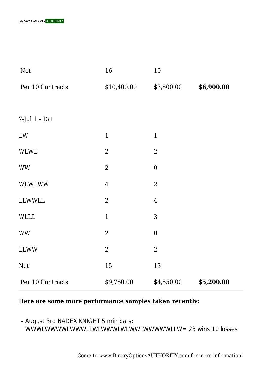| <b>Net</b>       | 16             | 10               |            |
|------------------|----------------|------------------|------------|
| Per 10 Contracts | \$10,400.00    | \$3,500.00       | \$6,900.00 |
|                  |                |                  |            |
| 7-Jul $1$ - Dat  |                |                  |            |
| LW               | $\mathbf{1}$   | $\mathbf{1}$     |            |
| <b>WLWL</b>      | $\overline{2}$ | $\overline{2}$   |            |
| <b>WW</b>        | $\overline{2}$ | $\boldsymbol{0}$ |            |
| <b>WLWLWW</b>    | $\overline{4}$ | $\overline{2}$   |            |
| <b>LLWWLL</b>    | $\overline{2}$ | $\overline{4}$   |            |
| <b>WLLL</b>      | $\mathbf{1}$   | 3                |            |
| <b>WW</b>        | $\overline{2}$ | $\boldsymbol{0}$ |            |
| <b>LLWW</b>      | $\overline{2}$ | $\overline{2}$   |            |
| <b>Net</b>       | 15             | 13               |            |
| Per 10 Contracts | \$9,750.00     | \$4,550.00       | \$5,200.00 |

## **Here are some more performance samples taken recently:**

• August 3rd NADEX KNIGHT 5 min bars: WWWLWWWWLWWWLLWLWWWLWLWWLWWWWWLLW= 23 wins 10 losses